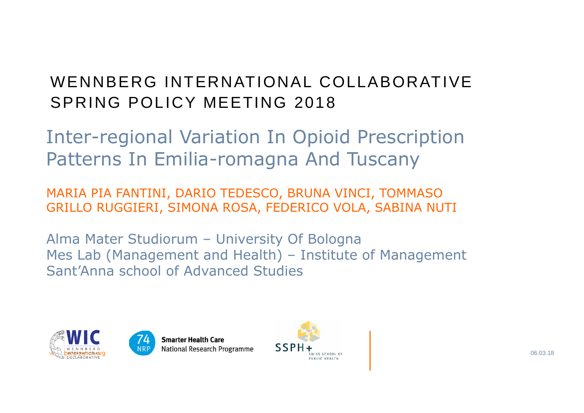## WENNBERG INTERNATIONAL COLLABORATIVESPRING POLICY MEETING 2018

Inter-regional Variation In Opioid Prescription Patterns In Emilia-romagna And Tuscany

MARIA PIA FANTINI, DARIO TEDESCO, BRUNA VINCI, TOMMASO GRILLO RUGGIERI, SIMONA ROSA, FEDERICO VOLA, SABINA NUTI

Alma Mater Studiorum – University Of Bologna Mes Lab (Management and Health) – Institute of Management Sant'Anna school of Advanced Studies





**Smarter Health Care** 

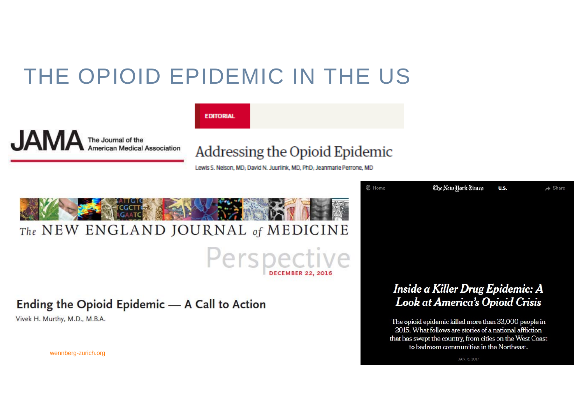# THE OPIOID EPIDEMIC IN THE US



**FDITORIAL** 

## Addressing the Opioid Epidemic

Lewis S. Nelson, MD; David N. Juurlink, MD, PhD; Jeanmarie Perrone, MD



### Ending the Opioid Epidemic - A Call to Action

Vivek H. Murthy, M.D., M.B.A.

Look at America's Opioid Crisis The opioid epidemic killed more than 33,000 people in

**花 Home** 

2015. What follows are stories of a national affliction that has swept the country, from cities on the West Coast to bedroom communities in the Northeast.

Inside a Killer Drug Epidemic: A

The New Hork Times

U.S.

 $\rightarrow$  Share

wennberg-zurich.org JAN. 6, 2017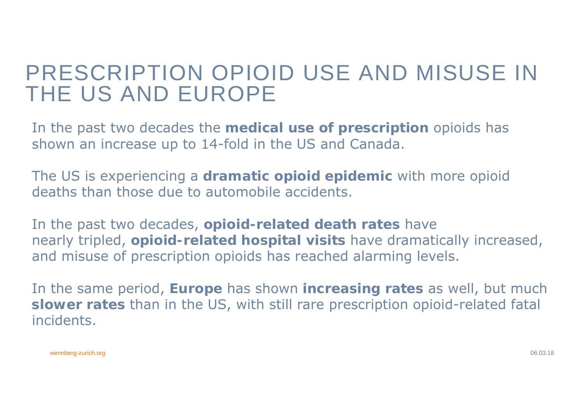## PRESCRIPTION OPIOID USE AND MISUSE IN THE US AND EUROPE

In the past two decades the **medical use of prescription** opioids has shown an increase up to 14-fold in the US and Canada.

The US is experiencing a **dramatic opioid epidemic** with more opioid deaths than those due to automobile accidents.

In the past two decades, **opioid-related death rates** have nearly tripled, **opioid-related hospital visits** have dramatically increased, and misuse of prescription opioids has reached alarming levels.

In the same period, **Europe** has shown **increasing rates** as well, but much **slower rates** than in the US, with still rare prescription opioid-related fatal incidents.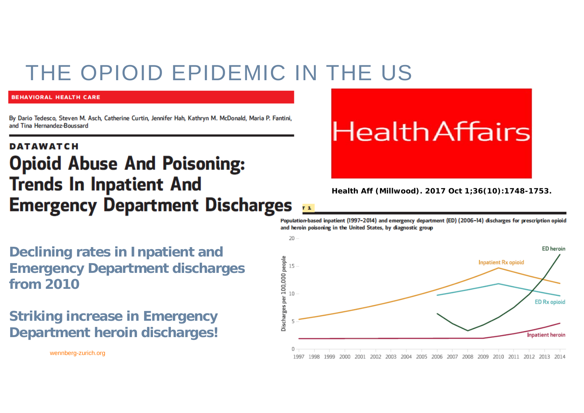## THE OPIOID EPIDEMIC IN THE US

#### **BEHAVIORAL HEALTH CARE**

By Dario Tedesco, Steven M. Asch, Catherine Curtin, Jennifer Hah, Kathryn M. McDonald, Maria P. Fantini, and Tina Hernandez-Boussard

## **DATAWATCH Opioid Abuse And Poisoning: Trends In Inpatient And Emergency Department Discharges**

**Declining rates in Inpatient and Emergency Department discharges from 2010**

**Striking increase in Emergency Department heroin discharges!**

# **Health Affairs**

*Health Aff (Millwood). 2017 Oct 1;36(10):1748-1753.*

Population-based inpatient (1997-2014) and emergency department (ED) (2006-14) discharges for prescription opioid and heroin poisoning in the United States, by diagnostic group

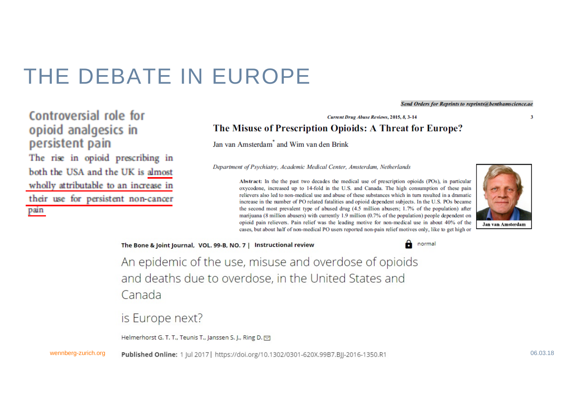## THE DEBATE IN EUROPE

#### **Send Orders for Reprints to reprints@benthamscience.ae**

Controversial role for opioid analgesics in persistent pain The rise in opioid prescribing in both the USA and the UK is almost wholly attributable to an increase in their use for persistent non-cancer

pain

#### The Misuse of Prescription Opioids: A Threat for Europe?

**Current Drug Abuse Reviews, 2015, 8, 3-14** 

Jan van Amsterdam<sup>\*</sup> and Wim van den Brink

Department of Psychiatry, Academic Medical Center, Amsterdam, Netherlands



 $\overline{\mathbf{3}}$ 

The Bone & Joint Journal, VOL. 99-B, NO. 7 | Instructional review



An epidemic of the use, misuse and overdose of opioids and deaths due to overdose, in the United States and Canada

is Europe next?

Helmerhorst G. T. T., Teunis T., Janssen S. J., Ring D. M

wennberg-zurich.org Published Online: 1 |ul 2017 | https://doi.org/10.1302/0301-620X.99B7.Bll-2016-1350.R1 06.03.18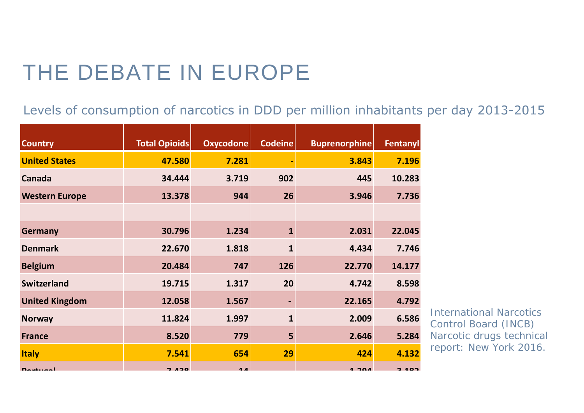# THE DEBATE IN EUROPE

Levels of consumption of narcotics in DDD per million inhabitants per day 2013-2015

| <b>Country</b>        | <b>Total Opioids</b> | Oxycodone      | <b>Codeine</b> | <b>Buprenorphine</b> | Fentanyl |
|-----------------------|----------------------|----------------|----------------|----------------------|----------|
| <b>United States</b>  | 47.580               | 7.281          |                | 3.843                | 7.196    |
| <b>Canada</b>         | 34.444               | 3.719          | 902            | 445                  | 10.283   |
| <b>Western Europe</b> | 13.378               | 944            | 26             | 3.946                | 7.736    |
|                       |                      |                |                |                      |          |
| <b>Germany</b>        | 30.796               | 1.234          | $\mathbf{1}$   | 2.031                | 22.045   |
| <b>Denmark</b>        | 22.670               | 1.818          | $\mathbf{1}$   | 4.434                | 7.746    |
| <b>Belgium</b>        | 20.484               | 747            | 126            | 22.770               | 14.177   |
| <b>Switzerland</b>    | 19.715               | 1.317          | 20             | 4.742                | 8.598    |
| <b>United Kingdom</b> | 12.058               | 1.567          | $\blacksquare$ | 22.165               | 4.792    |
| <b>Norway</b>         | 11.824               | 1.997          | $\mathbf{1}$   | 2.009                | 6.586    |
| <b>France</b>         | 8.520                | 779            | 5              | 2.646                | 5.284    |
| <b>Italy</b>          | 7.541                | 654            | 29             | 424                  | 4.132    |
| $D$ outureal          | <b>7 420</b>         | 1 <sub>n</sub> |                | 1.30A                | $2.102$  |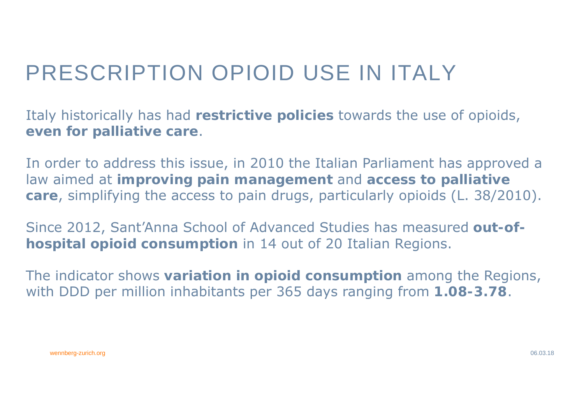# PRESCRIPTION OPIOID USE IN ITALY

Italy historically has had **restrictive policies** towards the use of opioids, **even for palliative care**.

In order to address this issue, in 2010 the Italian Parliament has approved a law aimed at **improving pain management** and **access to palliative care**, simplifying the access to pain drugs, particularly opioids (L. 38/2010).

Since 2012, Sant'Anna School of Advanced Studies has measured **out-ofhospital opioid consumption** in 14 out of 20 Italian Regions.

The indicator shows **variation in opioid consumption** among the Regions, with DDD per million inhabitants per 365 days ranging from **1.08-3.78**.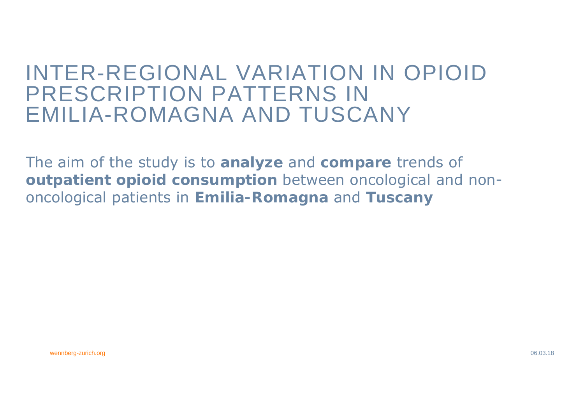## INTER-REGIONAL VARIATION IN OPIOID PRESCRIPTION PATTERNS IN EMILIA-ROMAGNA AND TUSCANY

The aim of the study is to **analyze** and **compare** trends of **outpatient opioid consumption** between oncological and nononcological patients in **Emilia-Romagna** and **Tuscany**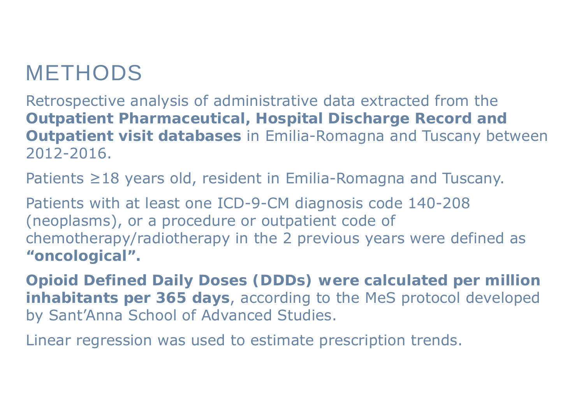## METHODS

Retrospective analysis of administrative data extracted from the **Outpatient Pharmaceutical, Hospital Discharge Record and Outpatient visit databases** in Emilia-Romagna and Tuscany between 2012-2016.

Patients ≥18 years old, resident in Emilia-Romagna and Tuscany.

Patients with at least one ICD-9-CM diagnosis code 140-208 (neoplasms), or a procedure or outpatient code of chemotherapy/radiotherapy in the 2 previous years were defined as **"oncological".**

**Opioid Defined Daily Doses (DDDs) were calculated per million inhabitants per 365 days**, according to the MeS protocol developed by Sant'Anna School of Advanced Studies.

Linear regression was used to estimate prescription trends.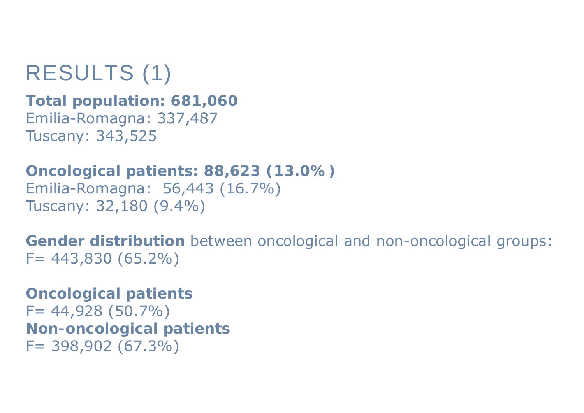# RESULTS (1)

**Total population: 681,060** Emilia-Romagna: 337,487 Tuscany: 343,525

**Oncological patients: 88,623 (13.0%)** Emilia-Romagna: 56,443 (16.7%) Tuscany: 32,180 (9.4%)

**Gender distribution** between oncological and non-oncological groups: F= 443,830 (65.2%)

F= 398,902 (67.3%) **Oncological patients** F= 44,928 (50.7%) **Non-oncological patients**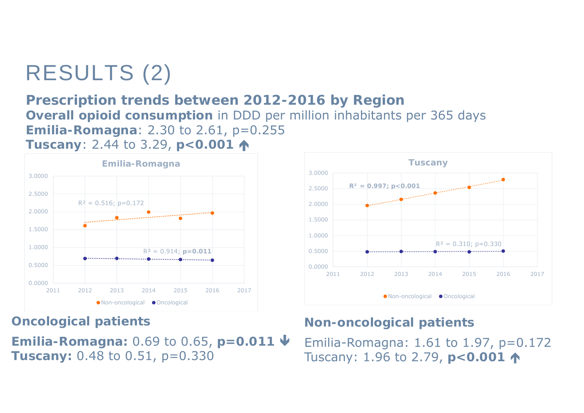# RESULTS (2)

## **Prescription trends between 2012-2016 by Region Overall opioid consumption** in DDD per million inhabitants per 365 days **Emilia-Romagna**: 2.30 to 2.61, p=0.255 **Tuscany: 2.44 to 3.29, <b>p**<0.001 ↑



**Oncological patients** 

**Emilia-Romagna:** 0.69 to 0.65, **p=0.011 Tuscany:** 0.48 to 0.51, p=0.330



## **Non-oncological patients**

**ny**: 0.48 to 0.51,  $p=0.330$  Tuscany: 1.96 to 2.79,  $p<$  0.001  $\uparrow$ Emilia-Romagna: 1.61 to 1.97, p=0.172